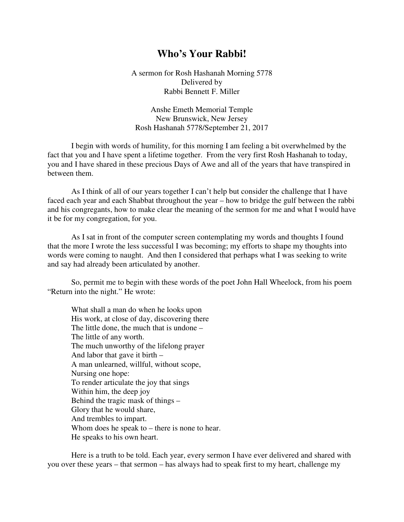## **Who's Your Rabbi!**

A sermon for Rosh Hashanah Morning 5778 Delivered by Rabbi Bennett F. Miller

Anshe Emeth Memorial Temple New Brunswick, New Jersey Rosh Hashanah 5778/September 21, 2017

I begin with words of humility, for this morning I am feeling a bit overwhelmed by the fact that you and I have spent a lifetime together. From the very first Rosh Hashanah to today, you and I have shared in these precious Days of Awe and all of the years that have transpired in between them.

As I think of all of our years together I can't help but consider the challenge that I have faced each year and each Shabbat throughout the year – how to bridge the gulf between the rabbi and his congregants, how to make clear the meaning of the sermon for me and what I would have it be for my congregation, for you.

As I sat in front of the computer screen contemplating my words and thoughts I found that the more I wrote the less successful I was becoming; my efforts to shape my thoughts into words were coming to naught. And then I considered that perhaps what I was seeking to write and say had already been articulated by another.

So, permit me to begin with these words of the poet John Hall Wheelock, from his poem "Return into the night." He wrote:

What shall a man do when he looks upon His work, at close of day, discovering there The little done, the much that is undone – The little of any worth. The much unworthy of the lifelong prayer And labor that gave it birth – A man unlearned, willful, without scope, Nursing one hope: To render articulate the joy that sings Within him, the deep joy Behind the tragic mask of things – Glory that he would share, And trembles to impart. Whom does he speak to – there is none to hear. He speaks to his own heart.

Here is a truth to be told. Each year, every sermon I have ever delivered and shared with you over these years – that sermon – has always had to speak first to my heart, challenge my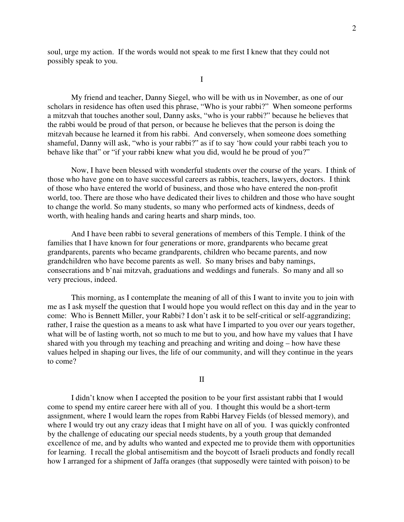soul, urge my action. If the words would not speak to me first I knew that they could not possibly speak to you.

I

My friend and teacher, Danny Siegel, who will be with us in November, as one of our scholars in residence has often used this phrase, "Who is your rabbi?" When someone performs a mitzvah that touches another soul, Danny asks, "who is your rabbi?" because he believes that the rabbi would be proud of that person, or because he believes that the person is doing the mitzvah because he learned it from his rabbi. And conversely, when someone does something shameful, Danny will ask, "who is your rabbi?" as if to say 'how could your rabbi teach you to behave like that" or "if your rabbi knew what you did, would he be proud of you?"

Now, I have been blessed with wonderful students over the course of the years. I think of those who have gone on to have successful careers as rabbis, teachers, lawyers, doctors. I think of those who have entered the world of business, and those who have entered the non-profit world, too. There are those who have dedicated their lives to children and those who have sought to change the world. So many students, so many who performed acts of kindness, deeds of worth, with healing hands and caring hearts and sharp minds, too.

And I have been rabbi to several generations of members of this Temple. I think of the families that I have known for four generations or more, grandparents who became great grandparents, parents who became grandparents, children who became parents, and now grandchildren who have become parents as well. So many brises and baby namings, consecrations and b'nai mitzvah, graduations and weddings and funerals. So many and all so very precious, indeed.

This morning, as I contemplate the meaning of all of this I want to invite you to join with me as I ask myself the question that I would hope you would reflect on this day and in the year to come: Who is Bennett Miller, your Rabbi? I don't ask it to be self-critical or self-aggrandizing; rather, I raise the question as a means to ask what have I imparted to you over our years together, what will be of lasting worth, not so much to me but to you, and how have my values that I have shared with you through my teaching and preaching and writing and doing – how have these values helped in shaping our lives, the life of our community, and will they continue in the years to come?

II

I didn't know when I accepted the position to be your first assistant rabbi that I would come to spend my entire career here with all of you. I thought this would be a short-term assignment, where I would learn the ropes from Rabbi Harvey Fields (of blessed memory), and where I would try out any crazy ideas that I might have on all of you. I was quickly confronted by the challenge of educating our special needs students, by a youth group that demanded excellence of me, and by adults who wanted and expected me to provide them with opportunities for learning. I recall the global antisemitism and the boycott of Israeli products and fondly recall how I arranged for a shipment of Jaffa oranges (that supposedly were tainted with poison) to be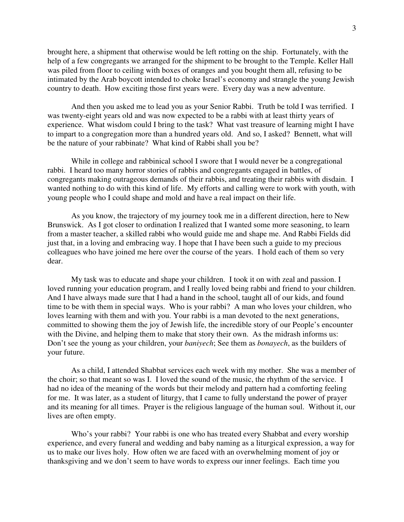brought here, a shipment that otherwise would be left rotting on the ship. Fortunately, with the help of a few congregants we arranged for the shipment to be brought to the Temple. Keller Hall was piled from floor to ceiling with boxes of oranges and you bought them all, refusing to be intimated by the Arab boycott intended to choke Israel's economy and strangle the young Jewish country to death. How exciting those first years were. Every day was a new adventure.

And then you asked me to lead you as your Senior Rabbi. Truth be told I was terrified. I was twenty-eight years old and was now expected to be a rabbi with at least thirty years of experience. What wisdom could I bring to the task? What vast treasure of learning might I have to impart to a congregation more than a hundred years old. And so, I asked? Bennett, what will be the nature of your rabbinate? What kind of Rabbi shall you be?

While in college and rabbinical school I swore that I would never be a congregational rabbi. I heard too many horror stories of rabbis and congregants engaged in battles, of congregants making outrageous demands of their rabbis, and treating their rabbis with disdain. I wanted nothing to do with this kind of life. My efforts and calling were to work with youth, with young people who I could shape and mold and have a real impact on their life.

As you know, the trajectory of my journey took me in a different direction, here to New Brunswick. As I got closer to ordination I realized that I wanted some more seasoning, to learn from a master teacher, a skilled rabbi who would guide me and shape me. And Rabbi Fields did just that, in a loving and embracing way. I hope that I have been such a guide to my precious colleagues who have joined me here over the course of the years. I hold each of them so very dear.

My task was to educate and shape your children. I took it on with zeal and passion. I loved running your education program, and I really loved being rabbi and friend to your children. And I have always made sure that I had a hand in the school, taught all of our kids, and found time to be with them in special ways. Who is your rabbi? A man who loves your children, who loves learning with them and with you. Your rabbi is a man devoted to the next generations, committed to showing them the joy of Jewish life, the incredible story of our People's encounter with the Divine, and helping them to make that story their own. As the midrash informs us: Don't see the young as your children, your *baniyech*; See them as *bonayech*, as the builders of your future.

As a child, I attended Shabbat services each week with my mother. She was a member of the choir; so that meant so was I. I loved the sound of the music, the rhythm of the service. I had no idea of the meaning of the words but their melody and pattern had a comforting feeling for me. It was later, as a student of liturgy, that I came to fully understand the power of prayer and its meaning for all times. Prayer is the religious language of the human soul. Without it, our lives are often empty.

Who's your rabbi? Your rabbi is one who has treated every Shabbat and every worship experience, and every funeral and wedding and baby naming as a liturgical expression, a way for us to make our lives holy. How often we are faced with an overwhelming moment of joy or thanksgiving and we don't seem to have words to express our inner feelings. Each time you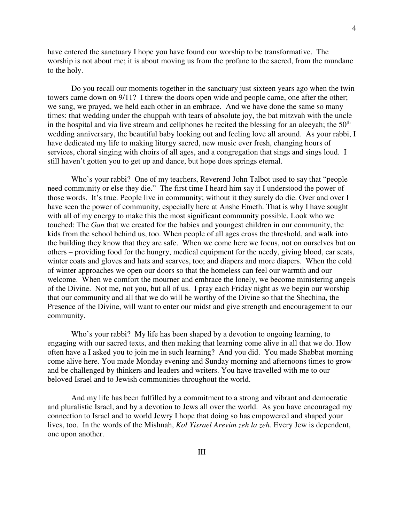have entered the sanctuary I hope you have found our worship to be transformative. The worship is not about me; it is about moving us from the profane to the sacred, from the mundane to the holy.

Do you recall our moments together in the sanctuary just sixteen years ago when the twin towers came down on 9/11? I threw the doors open wide and people came, one after the other; we sang, we prayed, we held each other in an embrace. And we have done the same so many times: that wedding under the chuppah with tears of absolute joy, the bat mitzvah with the uncle in the hospital and via live stream and cellphones he recited the blessing for an aleeyah; the  $50<sup>th</sup>$ wedding anniversary, the beautiful baby looking out and feeling love all around. As your rabbi, I have dedicated my life to making liturgy sacred, new music ever fresh, changing hours of services, choral singing with choirs of all ages, and a congregation that sings and sings loud. I still haven't gotten you to get up and dance, but hope does springs eternal.

Who's your rabbi? One of my teachers, Reverend John Talbot used to say that "people need community or else they die." The first time I heard him say it I understood the power of those words. It's true. People live in community; without it they surely do die. Over and over I have seen the power of community, especially here at Anshe Emeth. That is why I have sought with all of my energy to make this the most significant community possible. Look who we touched: The *Gan* that we created for the babies and youngest children in our community, the kids from the school behind us, too. When people of all ages cross the threshold, and walk into the building they know that they are safe. When we come here we focus, not on ourselves but on others – providing food for the hungry, medical equipment for the needy, giving blood, car seats, winter coats and gloves and hats and scarves, too; and diapers and more diapers. When the cold of winter approaches we open our doors so that the homeless can feel our warmth and our welcome. When we comfort the mourner and embrace the lonely, we become ministering angels of the Divine. Not me, not you, but all of us. I pray each Friday night as we begin our worship that our community and all that we do will be worthy of the Divine so that the Shechina, the Presence of the Divine, will want to enter our midst and give strength and encouragement to our community.

Who's your rabbi? My life has been shaped by a devotion to ongoing learning, to engaging with our sacred texts, and then making that learning come alive in all that we do. How often have a I asked you to join me in such learning? And you did. You made Shabbat morning come alive here. You made Monday evening and Sunday morning and afternoons times to grow and be challenged by thinkers and leaders and writers. You have travelled with me to our beloved Israel and to Jewish communities throughout the world.

And my life has been fulfilled by a commitment to a strong and vibrant and democratic and pluralistic Israel, and by a devotion to Jews all over the world. As you have encouraged my connection to Israel and to world Jewry I hope that doing so has empowered and shaped your lives, too. In the words of the Mishnah, *Kol Yisrael Arevim zeh la zeh*. Every Jew is dependent, one upon another.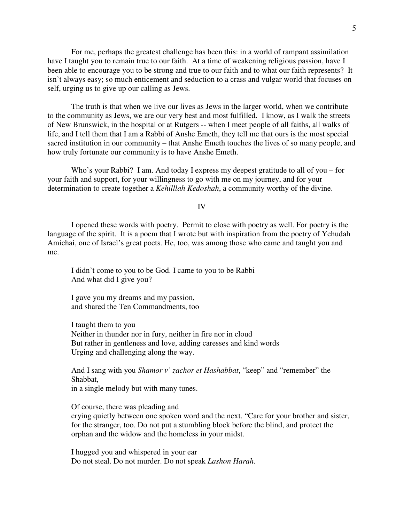For me, perhaps the greatest challenge has been this: in a world of rampant assimilation have I taught you to remain true to our faith. At a time of weakening religious passion, have I been able to encourage you to be strong and true to our faith and to what our faith represents? It isn't always easy; so much enticement and seduction to a crass and vulgar world that focuses on self, urging us to give up our calling as Jews.

The truth is that when we live our lives as Jews in the larger world, when we contribute to the community as Jews, we are our very best and most fulfilled. I know, as I walk the streets of New Brunswick, in the hospital or at Rutgers -- when I meet people of all faiths, all walks of life, and I tell them that I am a Rabbi of Anshe Emeth, they tell me that ours is the most special sacred institution in our community – that Anshe Emeth touches the lives of so many people, and how truly fortunate our community is to have Anshe Emeth.

 Who's your Rabbi? I am. And today I express my deepest gratitude to all of you – for your faith and support, for your willingness to go with me on my journey, and for your determination to create together a *Kehilllah Kedoshah*, a community worthy of the divine.

IV

 I opened these words with poetry. Permit to close with poetry as well. For poetry is the language of the spirit. It is a poem that I wrote but with inspiration from the poetry of Yehudah Amichai, one of Israel's great poets. He, too, was among those who came and taught you and me.

I didn't come to you to be God. I came to you to be Rabbi And what did I give you?

I gave you my dreams and my passion, and shared the Ten Commandments, too

 I taught them to you Neither in thunder nor in fury, neither in fire nor in cloud But rather in gentleness and love, adding caresses and kind words Urging and challenging along the way.

And I sang with you *Shamor v' zachor et Hashabbat*, "keep" and "remember" the Shabbat,

in a single melody but with many tunes.

Of course, there was pleading and crying quietly between one spoken word and the next. "Care for your brother and sister, for the stranger, too. Do not put a stumbling block before the blind, and protect the orphan and the widow and the homeless in your midst.

I hugged you and whispered in your ear Do not steal. Do not murder. Do not speak *Lashon Harah*.